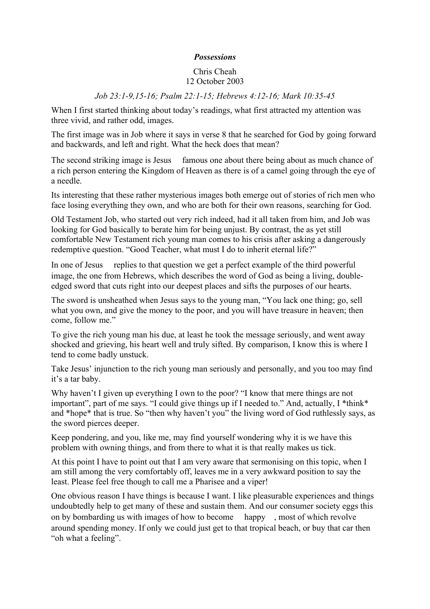## *Possessions*

## Chris Cheah 12 October 2003

## *Job 23:1-9,15-16; Psalm 22:1-15; Hebrews 4:12-16; Mark 10:35-45*

When I first started thinking about today's readings, what first attracted my attention was three vivid, and rather odd, images.

The first image was in Job where it says in verse 8 that he searched for God by going forward and backwards, and left and right. What the heck does that mean?

The second striking image is Jesus famous one about there being about as much chance of a rich person entering the Kingdom of Heaven as there is of a camel going through the eye of a needle.

Its interesting that these rather mysterious images both emerge out of stories of rich men who face losing everything they own, and who are both for their own reasons, searching for God.

Old Testament Job, who started out very rich indeed, had it all taken from him, and Job was looking for God basically to berate him for being unjust. By contrast, the as yet still comfortable New Testament rich young man comes to his crisis after asking a dangerously redemptive question. "Good Teacher, what must I do to inherit eternal life?"

In one of Jesus replies to that question we get a perfect example of the third powerful image, the one from Hebrews, which describes the word of God as being a living, doubleedged sword that cuts right into our deepest places and sifts the purposes of our hearts.

The sword is unsheathed when Jesus says to the young man, "You lack one thing; go, sell what you own, and give the money to the poor, and you will have treasure in heaven; then come, follow me."

To give the rich young man his due, at least he took the message seriously, and went away shocked and grieving, his heart well and truly sifted. By comparison, I know this is where I tend to come badly unstuck.

Take Jesus' injunction to the rich young man seriously and personally, and you too may find it's a tar baby.

Why haven't I given up everything I own to the poor? "I know that mere things are not important", part of me says. "I could give things up if I needed to." And, actually, I \*think\* and \*hope\* that is true. So "then why haven't you" the living word of God ruthlessly says, as the sword pierces deeper.

Keep pondering, and you, like me, may find yourself wondering why it is we have this problem with owning things, and from there to what it is that really makes us tick.

At this point I have to point out that I am very aware that sermonising on this topic, when I am still among the very comfortably off, leaves me in a very awkward position to say the least. Please feel free though to call me a Pharisee and a viper!

One obvious reason I have things is because I want. I like pleasurable experiences and things undoubtedly help to get many of these and sustain them. And our consumer society eggs this on by bombarding us with images of how to become happy , most of which revolve around spending money. If only we could just get to that tropical beach, or buy that car then "oh what a feeling".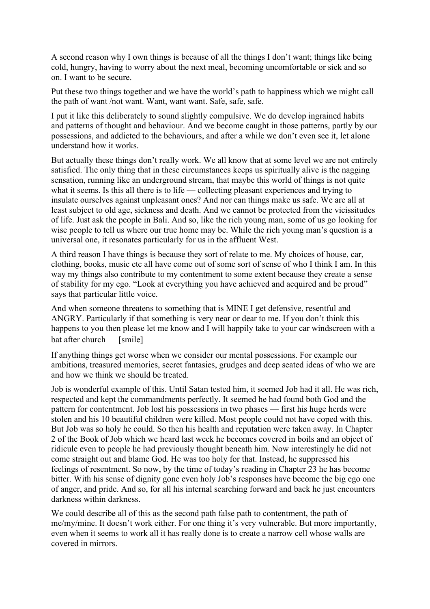A second reason why I own things is because of all the things I don't want; things like being cold, hungry, having to worry about the next meal, becoming uncomfortable or sick and so on. I want to be secure.

Put these two things together and we have the world's path to happiness which we might call the path of want /not want. Want, want want. Safe, safe, safe.

I put it like this deliberately to sound slightly compulsive. We do develop ingrained habits and patterns of thought and behaviour. And we become caught in those patterns, partly by our possessions, and addicted to the behaviours, and after a while we don't even see it, let alone understand how it works.

But actually these things don't really work. We all know that at some level we are not entirely satisfied. The only thing that in these circumstances keeps us spiritually alive is the nagging sensation, running like an underground stream, that maybe this world of things is not quite what it seems. Is this all there is to life — collecting pleasant experiences and trying to insulate ourselves against unpleasant ones? And nor can things make us safe. We are all at least subject to old age, sickness and death. And we cannot be protected from the vicissitudes of life. Just ask the people in Bali. And so, like the rich young man, some of us go looking for wise people to tell us where our true home may be. While the rich young man's question is a universal one, it resonates particularly for us in the affluent West.

A third reason I have things is because they sort of relate to me. My choices of house, car, clothing, books, music etc all have come out of some sort of sense of who I think I am. In this way my things also contribute to my contentment to some extent because they create a sense of stability for my ego. "Look at everything you have achieved and acquired and be proud" says that particular little voice.

And when someone threatens to something that is MINE I get defensive, resentful and ANGRY. Particularly if that something is very near or dear to me. If you don't think this happens to you then please let me know and I will happily take to your car windscreen with a bat after church [smile]

If anything things get worse when we consider our mental possessions. For example our ambitions, treasured memories, secret fantasies, grudges and deep seated ideas of who we are and how we think we should be treated.

Job is wonderful example of this. Until Satan tested him, it seemed Job had it all. He was rich, respected and kept the commandments perfectly. It seemed he had found both God and the pattern for contentment. Job lost his possessions in two phases — first his huge herds were stolen and his 10 beautiful children were killed. Most people could not have coped with this. But Job was so holy he could. So then his health and reputation were taken away. In Chapter 2 of the Book of Job which we heard last week he becomes covered in boils and an object of ridicule even to people he had previously thought beneath him. Now interestingly he did not come straight out and blame God. He was too holy for that. Instead, he suppressed his feelings of resentment. So now, by the time of today's reading in Chapter 23 he has become bitter. With his sense of dignity gone even holy Job's responses have become the big ego one of anger, and pride. And so, for all his internal searching forward and back he just encounters darkness within darkness.

We could describe all of this as the second path false path to contentment, the path of me/my/mine. It doesn't work either. For one thing it's very vulnerable. But more importantly, even when it seems to work all it has really done is to create a narrow cell whose walls are covered in mirrors.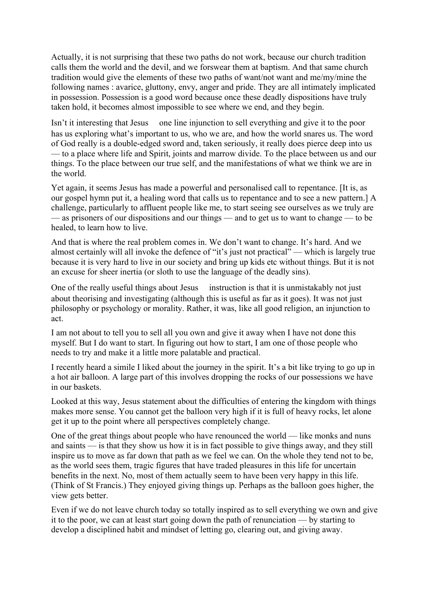Actually, it is not surprising that these two paths do not work, because our church tradition calls them the world and the devil, and we forswear them at baptism. And that same church tradition would give the elements of these two paths of want/not want and me/my/mine the following names : avarice, gluttony, envy, anger and pride. They are all intimately implicated in possession. Possession is a good word because once these deadly dispositions have truly taken hold, it becomes almost impossible to see where we end, and they begin.

Isn't it interesting that Jesus one line injunction to sell everything and give it to the poor has us exploring what's important to us, who we are, and how the world snares us. The word of God really is a double-edged sword and, taken seriously, it really does pierce deep into us — to a place where life and Spirit, joints and marrow divide. To the place between us and our things. To the place between our true self, and the manifestations of what we think we are in the world.

Yet again, it seems Jesus has made a powerful and personalised call to repentance. [It is, as our gospel hymn put it, a healing word that calls us to repentance and to see a new pattern.] A challenge, particularly to affluent people like me, to start seeing see ourselves as we truly are — as prisoners of our dispositions and our things — and to get us to want to change — to be healed, to learn how to live.

And that is where the real problem comes in. We don't want to change. It's hard. And we almost certainly will all invoke the defence of "it's just not practical" — which is largely true because it is very hard to live in our society and bring up kids etc without things. But it is not an excuse for sheer inertia (or sloth to use the language of the deadly sins).

One of the really useful things about Jesus instruction is that it is unmistakably not just about theorising and investigating (although this is useful as far as it goes). It was not just philosophy or psychology or morality. Rather, it was, like all good religion, an injunction to act.

I am not about to tell you to sell all you own and give it away when I have not done this myself. But I do want to start. In figuring out how to start, I am one of those people who needs to try and make it a little more palatable and practical.

I recently heard a simile I liked about the journey in the spirit. It's a bit like trying to go up in a hot air balloon. A large part of this involves dropping the rocks of our possessions we have in our baskets.

Looked at this way, Jesus statement about the difficulties of entering the kingdom with things makes more sense. You cannot get the balloon very high if it is full of heavy rocks, let alone get it up to the point where all perspectives completely change.

One of the great things about people who have renounced the world — like monks and nuns and saints — is that they show us how it is in fact possible to give things away, and they still inspire us to move as far down that path as we feel we can. On the whole they tend not to be, as the world sees them, tragic figures that have traded pleasures in this life for uncertain benefits in the next. No, most of them actually seem to have been very happy in this life. (Think of St Francis.) They enjoyed giving things up. Perhaps as the balloon goes higher, the view gets better.

Even if we do not leave church today so totally inspired as to sell everything we own and give it to the poor, we can at least start going down the path of renunciation — by starting to develop a disciplined habit and mindset of letting go, clearing out, and giving away.